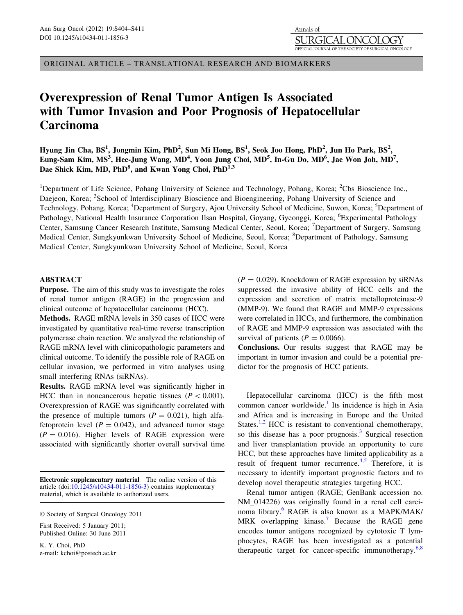ORIGINAL ARTICLE – TRANSLATIONAL RESEARCH AND BIOMARKERS

# Overexpression of Renal Tumor Antigen Is Associated with Tumor Invasion and Poor Prognosis of Hepatocellular Carcinoma

Hyung Jin Cha, BS<sup>1</sup>, Jongmin Kim, PhD<sup>2</sup>, Sun Mi Hong, BS<sup>1</sup>, Seok Joo Hong, PhD<sup>2</sup>, Jun Ho Park, BS<sup>2</sup>, Eung-Sam Kim, MS<sup>3</sup>, Hee-Jung Wang, MD<sup>4</sup>, Yoon Jung Choi, MD<sup>5</sup>, In-Gu Do, MD<sup>6</sup>, Jae Won Joh, MD<sup>7</sup>, Dae Shick Kim, MD, PhD<sup>8</sup>, and Kwan Yong Choi, PhD<sup>1,3</sup>

<sup>1</sup>Department of Life Science, Pohang University of Science and Technology, Pohang, Korea; <sup>2</sup>Cbs Bioscience Inc., Daejeon, Korea; <sup>3</sup>School of Interdisciplinary Bioscience and Bioengineering, Pohang University of Science and Technology, Pohang, Korea; <sup>4</sup>Department of Surgery, Ajou University School of Medicine, Suwon, Korea; <sup>5</sup>Department of Pathology, National Health Insurance Corporation Ilsan Hospital, Goyang, Gyeonggi, Korea; <sup>6</sup>Experimental Pathology Center, Samsung Cancer Research Institute, Samsung Medical Center, Seoul, Korea; <sup>7</sup>Department of Surgery, Samsung Medical Center, Sungkyunkwan University School of Medicine, Seoul, Korea; <sup>8</sup>Department of Pathology, Samsung Medical Center, Sungkyunkwan University School of Medicine, Seoul, Korea

# ABSTRACT

Purpose. The aim of this study was to investigate the roles of renal tumor antigen (RAGE) in the progression and clinical outcome of hepatocellular carcinoma (HCC).

Methods. RAGE mRNA levels in 350 cases of HCC were investigated by quantitative real-time reverse transcription polymerase chain reaction. We analyzed the relationship of RAGE mRNA level with clinicopathologic parameters and clinical outcome. To identify the possible role of RAGE on cellular invasion, we performed in vitro analyses using small interfering RNAs (siRNAs).

Results. RAGE mRNA level was significantly higher in HCC than in noncancerous hepatic tissues  $(P < 0.001)$ . Overexpression of RAGE was significantly correlated with the presence of multiple tumors ( $P = 0.021$ ), high alfafetoprotein level  $(P = 0.042)$ , and advanced tumor stage  $(P = 0.016)$ . Higher levels of RAGE expression were associated with significantly shorter overall survival time

Electronic supplementary material The online version of this article (doi:[10.1245/s10434-011-1856-3\)](http://dx.doi.org/10.1245/s10434-011-1856-3) contains supplementary material, which is available to authorized users.

First Received: 5 January 2011; Published Online: 30 June 2011

K. Y. Choi, PhD e-mail: kchoi@postech.ac.kr  $(P = 0.029)$ . Knockdown of RAGE expression by siRNAs suppressed the invasive ability of HCC cells and the expression and secretion of matrix metalloproteinase-9 (MMP-9). We found that RAGE and MMP-9 expressions were correlated in HCCs, and furthermore, the combination of RAGE and MMP-9 expression was associated with the survival of patients ( $P = 0.0066$ ).

Conclusions. Our results suggest that RAGE may be important in tumor invasion and could be a potential predictor for the prognosis of HCC patients.

Hepatocellular carcinoma (HCC) is the fifth most common cancer worldwide.<sup>[1](#page-6-0)</sup> Its incidence is high in Asia and Africa and is increasing in Europe and the United States.<sup>[1,2](#page-6-0)</sup> HCC is resistant to conventional chemotherapy, so this disease has a poor prognosis.<sup>[3](#page-6-0)</sup> Surgical resection and liver transplantation provide an opportunity to cure HCC, but these approaches have limited applicability as a result of frequent tumor recurrence.<sup>[4,5](#page-6-0)</sup> Therefore, it is necessary to identify important prognostic factors and to develop novel therapeutic strategies targeting HCC.

Renal tumor antigen (RAGE; GenBank accession no. NM\_014226) was originally found in a renal cell carcinoma library.[6](#page-6-0) RAGE is also known as a MAPK/MAK/ MRK overlapping kinase.<sup>[7](#page-6-0)</sup> Because the RAGE gene encodes tumor antigens recognized by cytotoxic T lymphocytes, RAGE has been investigated as a potential therapeutic target for cancer-specific immunotherapy.<sup>[6,8](#page-6-0)</sup>

 $©$  Society of Surgical Oncology 2011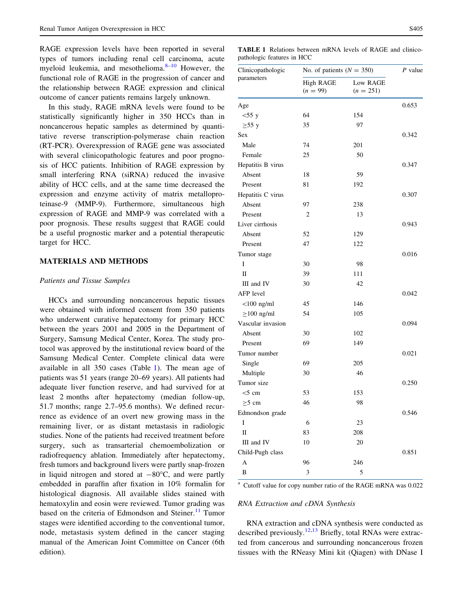<span id="page-1-0"></span>RAGE expression levels have been reported in several types of tumors including renal cell carcinoma, acute myeloid leukemia, and mesothelioma. $8-10$  $8-10$  $8-10$  However, the functional role of RAGE in the progression of cancer and the relationship between RAGE expression and clinical outcome of cancer patients remains largely unknown.

In this study, RAGE mRNA levels were found to be statistically significantly higher in 350 HCCs than in noncancerous hepatic samples as determined by quantitative reverse transcription-polymerase chain reaction (RT-PCR). Overexpression of RAGE gene was associated with several clinicopathologic features and poor prognosis of HCC patients. Inhibition of RAGE expression by small interfering RNA (siRNA) reduced the invasive ability of HCC cells, and at the same time decreased the expression and enzyme activity of matrix metalloproteinase-9 (MMP-9). Furthermore, simultaneous high expression of RAGE and MMP-9 was correlated with a poor prognosis. These results suggest that RAGE could be a useful prognostic marker and a potential therapeutic target for HCC.

# MATERIALS AND METHODS

## Patients and Tissue Samples

HCCs and surrounding noncancerous hepatic tissues were obtained with informed consent from 350 patients who underwent curative hepatectomy for primary HCC between the years 2001 and 2005 in the Department of Surgery, Samsung Medical Center, Korea. The study protocol was approved by the institutional review board of the Samsung Medical Center. Complete clinical data were available in all 350 cases (Table 1). The mean age of patients was 51 years (range 20–69 years). All patients had adequate liver function reserve, and had survived for at least 2 months after hepatectomy (median follow-up, 51.7 months; range 2.7–95.6 months). We defined recurrence as evidence of an overt new growing mass in the remaining liver, or as distant metastasis in radiologic studies. None of the patients had received treatment before surgery, such as transarterial chemoembolization or radiofrequency ablation. Immediately after hepatectomy, fresh tumors and background livers were partly snap-frozen in liquid nitrogen and stored at  $-80^{\circ}$ C, and were partly embedded in paraffin after fixation in 10% formalin for histological diagnosis. All available slides stained with hematoxylin and eosin were reviewed. Tumor grading was based on the criteria of Edmondson and Steiner.<sup>[11](#page-6-0)</sup> Tumor stages were identified according to the conventional tumor, node, metastasis system defined in the cancer staging manual of the American Joint Committee on Cancer (6th edition).

TABLE 1 Relations between mRNA levels of RAGE and clinicopathologic features in HCC

| Clinicopathologic<br>parameters | No. of patients ( $N = 350$ )  |                         | P value |
|---------------------------------|--------------------------------|-------------------------|---------|
|                                 | <b>High RAGE</b><br>$(n = 99)$ | Low RAGE<br>$(n = 251)$ |         |
| Age                             |                                |                         | 0.653   |
| $<$ 55 y                        | 64                             | 154                     |         |
| $\geq 55$ y                     | 35                             | 97                      |         |
| Sex                             |                                |                         | 0.342   |
| Male                            | 74                             | 201                     |         |
| Female                          | 25                             | 50                      |         |
| Hepatitis B virus               |                                |                         | 0.347   |
| Absent                          | 18                             | 59                      |         |
| Present                         | 81                             | 192                     |         |
| Hepatitis C virus               |                                |                         | 0.307   |
| Absent                          | 97                             | 238                     |         |
| Present                         | $\overline{2}$                 | 13                      |         |
| Liver cirrhosis                 |                                |                         | 0.943   |
| Absent                          | 52                             | 129                     |         |
| Present                         | 47                             | 122                     |         |
| Tumor stage                     |                                |                         | 0.016   |
| I                               | 30                             | 98                      |         |
| П                               | 39                             | 111                     |         |
| III and IV                      | 30                             | 42                      |         |
| AFP level                       |                                |                         | 0.042   |
| $<$ 100 ng/ml                   | 45                             | 146                     |         |
| $\geq$ 100 ng/ml                | 54                             | 105                     |         |
| Vascular invasion               |                                |                         | 0.094   |
| Absent                          | 30                             | 102                     |         |
| Present                         | 69                             | 149                     |         |
| Tumor number                    |                                |                         | 0.021   |
| Single                          | 69                             | 205                     |         |
| Multiple                        | 30                             | 46                      |         |
| Tumor size                      |                                |                         | 0.250   |
| $<$ 5 cm                        | 53                             | 153                     |         |
| $\geq 5$ cm                     | 46                             | 98                      |         |
| Edmondson grade                 |                                |                         | 0.546   |
| Ι                               | 6                              | 23                      |         |
| $\mathbf{I}$                    | 83                             | 208                     |         |
| III and IV                      | 10                             | 20                      |         |
| Child-Pugh class                |                                |                         | 0.851   |
| A                               | 96                             | 246                     |         |
| B                               | 3                              | 5                       |         |

<sup>a</sup> Cutoff value for copy number ratio of the RAGE mRNA was 0.022

# RNA Extraction and cDNA Synthesis

RNA extraction and cDNA synthesis were conducted as described previously.<sup>[12,13](#page-6-0)</sup> Briefly, total RNAs were extracted from cancerous and surrounding noncancerous frozen tissues with the RNeasy Mini kit (Qiagen) with DNase I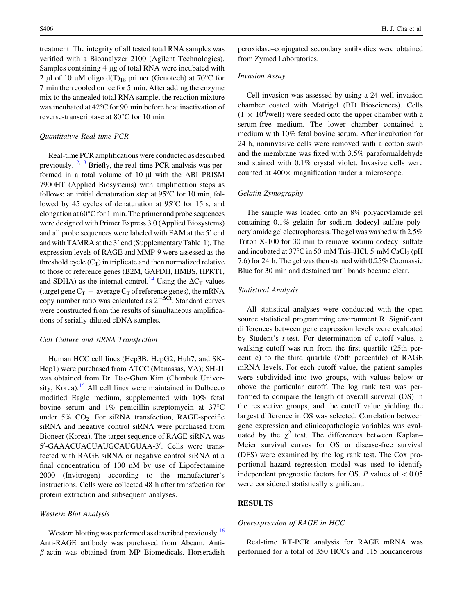treatment. The integrity of all tested total RNA samples was verified with a Bioanalyzer 2100 (Agilent Technologies). Samples containing 4 µg of total RNA were incubated with 2 µl of 10 µM oligo  $d(T)_{18}$  primer (Genotech) at 70°C for 7 min then cooled on ice for 5 min. After adding the enzyme mix to the annealed total RNA sample, the reaction mixture was incubated at 42°C for 90 min before heat inactivation of reverse-transcriptase at 80°C for 10 min.

#### Quantitative Real-time PCR

Real-time PCR amplifications were conducted as described previously.<sup>[12,13](#page-6-0)</sup> Briefly, the real-time PCR analysis was performed in a total volume of  $10 \mu l$  with the ABI PRISM 7900HT (Applied Biosystems) with amplification steps as follows: an initial denaturation step at  $95^{\circ}$ C for 10 min, followed by 45 cycles of denaturation at  $95^{\circ}$ C for 15 s, and elongation at  $60^{\circ}$ C for 1 min. The primer and probe sequences were designed with Primer Express 3.0 (Applied Biosystems) and all probe sequences were labeled with FAM at the 5' end and with TAMRA at the 3' end (Supplementary Table 1). The expression levels of RAGE and MMP-9 were assessed as the threshold cycle  $(C_T)$  in triplicate and then normalized relative to those of reference genes (B2M, GAPDH, HMBS, HPRT1, and SDHA) as the internal control.<sup>14</sup> Using the  $\Delta C_T$  values (target gene  $C_T$  – average  $C_T$  of reference genes), the mRNA copy number ratio was calculated as  $2^{-\Delta Ct}$ . Standard curves were constructed from the results of simultaneous amplifications of serially-diluted cDNA samples.

# Cell Culture and siRNA Transfection

Human HCC cell lines (Hep3B, HepG2, Huh7, and SK-Hep1) were purchased from ATCC (Manassas, VA); SH-J1 was obtained from Dr. Dae-Ghon Kim (Chonbuk Univer-sity, Korea).<sup>[15](#page-7-0)</sup> All cell lines were maintained in Dulbecco modified Eagle medium, supplemented with 10% fetal bovine serum and  $1\%$  penicillin–streptomycin at  $37^{\circ}$ C under  $5\%$  CO<sub>2</sub>. For siRNA transfection, RAGE-specific siRNA and negative control siRNA were purchased from Bioneer (Korea). The target sequence of RAGE siRNA was 5'-GAAACUACUAUGCAUGUAA-3'. Cells were transfected with RAGE siRNA or negative control siRNA at a final concentration of 100 nM by use of Lipofectamine 2000 (Invitrogen) according to the manufacturer's instructions. Cells were collected 48 h after transfection for protein extraction and subsequent analyses.

#### Western Blot Analysis

Western blotting was performed as described previously.<sup>[16](#page-7-0)</sup> Anti-RAGE antibody was purchased from Abcam. Anti- $\beta$ -actin was obtained from MP Biomedicals. Horseradish peroxidase–conjugated secondary antibodies were obtained from Zymed Laboratories.

#### Invasion Assay

Cell invasion was assessed by using a 24-well invasion chamber coated with Matrigel (BD Biosciences). Cells  $(1 \times 10^4$ /well) were seeded onto the upper chamber with a serum-free medium. The lower chamber contained a medium with 10% fetal bovine serum. After incubation for 24 h, noninvasive cells were removed with a cotton swab and the membrane was fixed with 3.5% paraformaldehyde and stained with 0.1% crystal violet. Invasive cells were counted at  $400 \times$  magnification under a microscope.

#### Gelatin Zymography

The sample was loaded onto an 8% polyacrylamide gel containing 0.1% gelatin for sodium dodecyl sulfate–polyacrylamide gel electrophoresis. The gel was washed with 2.5% Triton X-100 for 30 min to remove sodium dodecyl sulfate and incubated at  $37^{\circ}$ C in 50 mM Tris–HCl, 5 mM CaCl<sub>2</sub> (pH 7.6) for 24 h. The gel was then stained with 0.25% Coomassie Blue for 30 min and destained until bands became clear.

#### Statistical Analysis

All statistical analyses were conducted with the open source statistical programming environment R. Significant differences between gene expression levels were evaluated by Student's t-test. For determination of cutoff value, a walking cutoff was run from the first quartile (25th percentile) to the third quartile (75th percentile) of RAGE mRNA levels. For each cutoff value, the patient samples were subdivided into two groups, with values below or above the particular cutoff. The log rank test was performed to compare the length of overall survival (OS) in the respective groups, and the cutoff value yielding the largest difference in OS was selected. Correlation between gene expression and clinicopathologic variables was evaluated by the  $\chi^2$  test. The differences between Kaplan– Meier survival curves for OS or disease-free survival (DFS) were examined by the log rank test. The Cox proportional hazard regression model was used to identify independent prognostic factors for OS.  $P$  values of  $< 0.05$ were considered statistically significant.

# RESULTS

## Overexpression of RAGE in HCC

Real-time RT-PCR analysis for RAGE mRNA was performed for a total of 350 HCCs and 115 noncancerous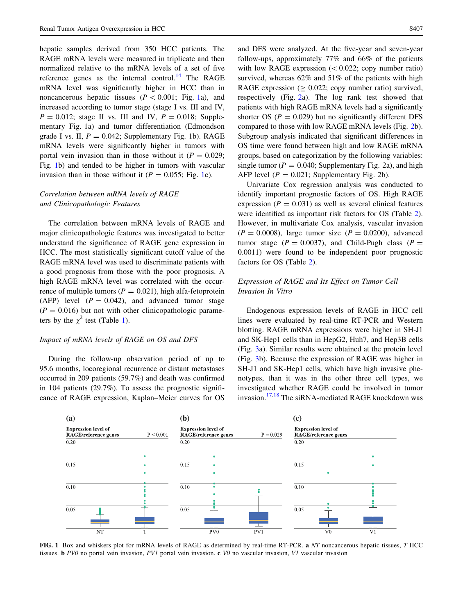hepatic samples derived from 350 HCC patients. The RAGE mRNA levels were measured in triplicate and then normalized relative to the mRNA levels of a set of five reference genes as the internal control.<sup>[14](#page-7-0)</sup> The RAGE mRNA level was significantly higher in HCC than in noncancerous hepatic tissues  $(P < 0.001;$  Fig. 1a), and increased according to tumor stage (stage I vs. III and IV,  $P = 0.012$ ; stage II vs. III and IV,  $P = 0.018$ ; Supplementary Fig. 1a) and tumor differentiation (Edmondson grade I vs. II,  $P = 0.042$ ; Supplementary Fig. 1b). RAGE mRNA levels were significantly higher in tumors with portal vein invasion than in those without it  $(P = 0.029)$ ; Fig. 1b) and tended to be higher in tumors with vascular invasion than in those without it  $(P = 0.055; Fig. 1c)$ .

# Correlation between mRNA levels of RAGE and Clinicopathologic Features

The correlation between mRNA levels of RAGE and major clinicopathologic features was investigated to better understand the significance of RAGE gene expression in HCC. The most statistically significant cutoff value of the RAGE mRNA level was used to discriminate patients with a good prognosis from those with the poor prognosis. A high RAGE mRNA level was correlated with the occurrence of multiple tumors ( $P = 0.021$ ), high alfa-fetoprotein (AFP) level  $(P = 0.042)$ , and advanced tumor stage  $(P = 0.016)$  but not with other clinicopathologic parameters by the  $\chi^2$  test (Table [1](#page-1-0)).

# Impact of mRNA levels of RAGE on OS and DFS

During the follow-up observation period of up to 95.6 months, locoregional recurrence or distant metastases occurred in 209 patients (59.7%) and death was confirmed in 104 patients (29.7%). To assess the prognostic significance of RAGE expression, Kaplan–Meier curves for OS

and DFS were analyzed. At the five-year and seven-year follow-ups, approximately 77% and 66% of the patients with low RAGE expression  $( $0.022$ ; copy number ratio)$ survived, whereas 62% and 51% of the patients with high RAGE expression  $(0.022;$  copy number ratio) survived, respectively (Fig. [2a](#page-4-0)). The log rank test showed that patients with high RAGE mRNA levels had a significantly shorter OS ( $P = 0.029$ ) but no significantly different DFS compared to those with low RAGE mRNA levels (Fig. [2](#page-4-0)b). Subgroup analysis indicated that significant differences in OS time were found between high and low RAGE mRNA groups, based on categorization by the following variables: single tumor ( $P = 0.040$ ; Supplementary Fig. 2a), and high AFP level ( $P = 0.021$ ; Supplementary Fig. 2b).

Univariate Cox regression analysis was conducted to identify important prognostic factors of OS. High RAGE expression ( $P = 0.031$ ) as well as several clinical features were identified as important risk factors for OS (Table [2](#page-4-0)). However, in multivariate Cox analysis, vascular invasion  $(P = 0.0008)$ , large tumor size  $(P = 0.0200)$ , advanced tumor stage ( $P = 0.0037$ ), and Child-Pugh class ( $P =$ 0.0011) were found to be independent poor prognostic factors for OS (Table [2](#page-4-0)).

# Expression of RAGE and Its Effect on Tumor Cell Invasion In Vitro

Endogenous expression levels of RAGE in HCC cell lines were evaluated by real-time RT-PCR and Western blotting. RAGE mRNA expressions were higher in SH-J1 and SK-Hep1 cells than in HepG2, Huh7, and Hep3B cells (Fig. [3a](#page-5-0)). Similar results were obtained at the protein level (Fig. [3b](#page-5-0)). Because the expression of RAGE was higher in SH-J1 and SK-Hep1 cells, which have high invasive phenotypes, than it was in the other three cell types, we investigated whether RAGE could be involved in tumor invasion.<sup>[17](#page-7-0),[18](#page-7-0)</sup> The siRNA-mediated RAGE knockdown was



FIG. 1 Box and whiskers plot for mRNA levels of RAGE as determined by real-time RT-PCR. a NT noncancerous hepatic tissues, T HCC tissues. **b** PV0 no portal vein invasion, PV1 portal vein invasion. c V0 no vascular invasion, V1 vascular invasion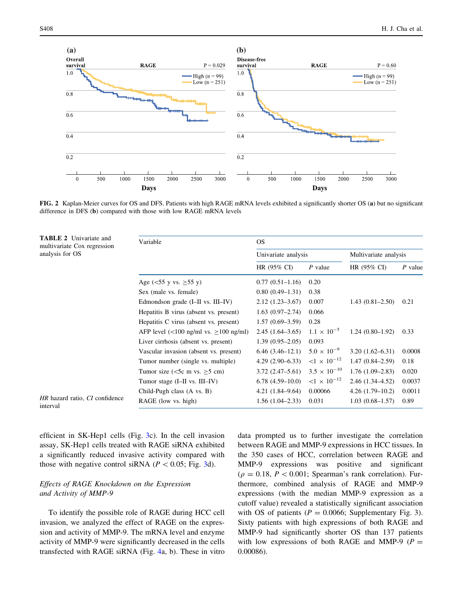<span id="page-4-0"></span>

FIG. 2 Kaplan-Meier curves for OS and DFS. Patients with high RAGE mRNA levels exhibited a significantly shorter OS (a) but no significant difference in DFS (b) compared with those with low RAGE mRNA levels

| <b>TABLE 2</b> Univariate and<br>multivariate Cox regression | Variable                                                                    | OS.                 |                                     |                       |           |
|--------------------------------------------------------------|-----------------------------------------------------------------------------|---------------------|-------------------------------------|-----------------------|-----------|
| analysis for OS                                              |                                                                             | Univariate analysis |                                     | Multivariate analysis |           |
|                                                              |                                                                             | HR (95% CI)         | $P$ value                           | HR (95% CI)           | $P$ value |
|                                                              | Age ( $\leq 55$ y vs. $\geq 55$ y)                                          | $0.77(0.51-1.16)$   | 0.20                                |                       |           |
|                                                              | Sex (male vs. female)                                                       | $0.80(0.49-1.31)$   | 0.38                                |                       |           |
|                                                              | Edmondson grade (I-II vs. III-IV)                                           | $2.12(1.23 - 3.67)$ | 0.007                               | $1.43(0.81 - 2.50)$   | 0.21      |
|                                                              | Hepatitis B virus (absent vs. present)                                      | $1.63(0.97-2.74)$   | 0.066                               |                       |           |
|                                                              | Hepatitis C virus (absent vs. present)                                      | $1.57(0.69-3.59)$   | 0.28                                |                       |           |
|                                                              | AFP level $\left(\frac{100 \text{ ng/ml vs. } 100 \text{ ng/ml}}{2}\right)$ | $2.45(1.64-3.65)$   | $1.1 \times 10^{-5}$                | $1.24(0.80-1.92)$     | 0.33      |
|                                                              | Liver cirrhosis (absent vs. present)                                        | $1.39(0.95-2.05)$   | 0.093                               |                       |           |
|                                                              | Vascular invasion (absent vs. present)                                      | $6.46(3.46-12.1)$   | $5.0 \times 10^{-9}$                | $3.20(1.62 - 6.31)$   | 0.0008    |
|                                                              | Tumor number (single vs. multiple)                                          | $4.29(2.90-6.33)$   | $< 1 \times 10^{-12}$               | $1.47(0.84 - 2.59)$   | 0.18      |
|                                                              | Tumor size ( $\leq$ 5c m vs. $\geq$ 5 cm)                                   | $3.72(2.47-5.61)$   | $3.5 \times 10^{-10}$               | $1.76(1.09-2.83)$     | 0.020     |
|                                                              | Tumor stage (I-II vs. III-IV)                                               | $6.78(4.59-10.0)$   | $\leq$ 1 $\times$ 10 <sup>-12</sup> | $2.46(1.34 - 4.52)$   | 0.0037    |
|                                                              | Child-Pugh class (A vs. B)                                                  | $4.21(1.84 - 9.64)$ | 0.00066                             | $4.26(1.79-10.2)$     | 0.0011    |
| HR hazard ratio, CI confidence<br>interval                   | RAGE (low vs. high)                                                         | $1.56(1.04-2.33)$   | 0.031                               | $1.03(0.68 - 1.57)$   | 0.89      |

efficient in SK-Hep1 cells (Fig. [3](#page-5-0)c). In the cell invasion assay, SK-Hep1 cells treated with RAGE siRNA exhibited a significantly reduced invasive activity compared with those with negative control siRNA ( $P < 0.05$ ; Fig. [3d](#page-5-0)).

# Effects of RAGE Knockdown on the Expression and Activity of MMP-9

To identify the possible role of RAGE during HCC cell invasion, we analyzed the effect of RAGE on the expression and activity of MMP-9. The mRNA level and enzyme activity of MMP-9 were significantly decreased in the cells transfected with RAGE siRNA (Fig. [4a](#page-5-0), b). These in vitro data prompted us to further investigate the correlation between RAGE and MMP-9 expressions in HCC tissues. In the 350 cases of HCC, correlation between RAGE and MMP-9 expressions was positive and significant  $(\rho = 0.18, P < 0.001;$  Spearman's rank correlation). Furthermore, combined analysis of RAGE and MMP-9 expressions (with the median MMP-9 expression as a cutoff value) revealed a statistically significant association with OS of patients ( $P = 0.0066$ ; Supplementary Fig. 3). Sixty patients with high expressions of both RAGE and MMP-9 had significantly shorter OS than 137 patients with low expressions of both RAGE and MMP-9 ( $P =$ 0.00086).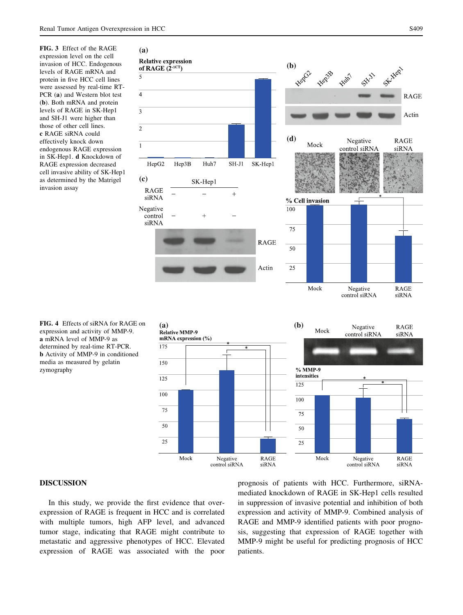<span id="page-5-0"></span>FIG. 3 Effect of the RAGE expression level on the cell invasion of HCC. Endogenous levels of RAGE mRNA and protein in five HCC cell lines were assessed by real-time RT-PCR (a) and Western blot test (b). Both mRNA and protein levels of RAGE in SK-Hep1 and SH-J1 were higher than those of other cell lines. c RAGE siRNA could effectively knock down endogenous RAGE expression in SK-Hep1. d Knockdown of RAGE expression decreased cell invasive ability of SK-Hep1 as determined by the Matrigel invasion assay









## DISCUSSION

In this study, we provide the first evidence that overexpression of RAGE is frequent in HCC and is correlated with multiple tumors, high AFP level, and advanced tumor stage, indicating that RAGE might contribute to metastatic and aggressive phenotypes of HCC. Elevated expression of RAGE was associated with the poor prognosis of patients with HCC. Furthermore, siRNAmediated knockdown of RAGE in SK-Hep1 cells resulted in suppression of invasive potential and inhibition of both expression and activity of MMP-9. Combined analysis of RAGE and MMP-9 identified patients with poor prognosis, suggesting that expression of RAGE together with MMP-9 might be useful for predicting prognosis of HCC patients.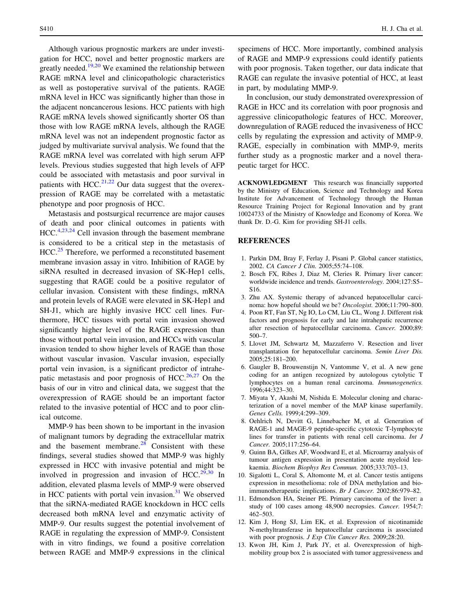<span id="page-6-0"></span>Although various prognostic markers are under investigation for HCC, novel and better prognostic markers are greatly needed.<sup>[19](#page-7-0),[20](#page-7-0)</sup> We examined the relationship between RAGE mRNA level and clinicopathologic characteristics as well as postoperative survival of the patients. RAGE mRNA level in HCC was significantly higher than those in the adjacent noncancerous lesions. HCC patients with high RAGE mRNA levels showed significantly shorter OS than those with low RAGE mRNA levels, although the RAGE mRNA level was not an independent prognostic factor as judged by multivariate survival analysis. We found that the RAGE mRNA level was correlated with high serum AFP levels. Previous studies suggested that high levels of AFP could be associated with metastasis and poor survival in patients with HCC.<sup>[21,22](#page-7-0)</sup> Our data suggest that the overexpression of RAGE may be correlated with a metastatic phenotype and poor prognosis of HCC.

Metastasis and postsurgical recurrence are major causes of death and poor clinical outcomes in patients with HCC.<sup>4,[23](#page-7-0),[24](#page-7-0)</sup> Cell invasion through the basement membrane is considered to be a critical step in the metastasis of HCC.<sup>[25](#page-7-0)</sup> Therefore, we performed a reconstituted basement membrane invasion assay in vitro. Inhibition of RAGE by siRNA resulted in decreased invasion of SK-Hep1 cells, suggesting that RAGE could be a positive regulator of cellular invasion. Consistent with these findings, mRNA and protein levels of RAGE were elevated in SK-Hep1 and SH-J1, which are highly invasive HCC cell lines. Furthermore, HCC tissues with portal vein invasion showed significantly higher level of the RAGE expression than those without portal vein invasion, and HCCs with vascular invasion tended to show higher levels of RAGE than those without vascular invasion. Vascular invasion, especially portal vein invasion, is a significant predictor of intrahe-patic metastasis and poor prognosis of HCC.<sup>[26](#page-7-0),[27](#page-7-0)</sup> On the basis of our in vitro and clinical data, we suggest that the overexpression of RAGE should be an important factor related to the invasive potential of HCC and to poor clinical outcome.

MMP-9 has been shown to be important in the invasion of malignant tumors by degrading the extracellular matrix and the basement membrane. $28$  Consistent with these findings, several studies showed that MMP-9 was highly expressed in HCC with invasive potential and might be involved in progression and invasion of HCC.<sup>[29,30](#page-7-0)</sup> In addition, elevated plasma levels of MMP-9 were observed in HCC patients with portal vein invasion. $31$  We observed that the siRNA-mediated RAGE knockdown in HCC cells decreased both mRNA level and enzymatic activity of MMP-9. Our results suggest the potential involvement of RAGE in regulating the expression of MMP-9. Consistent with in vitro findings, we found a positive correlation between RAGE and MMP-9 expressions in the clinical

specimens of HCC. More importantly, combined analysis of RAGE and MMP-9 expressions could identify patients with poor prognosis. Taken together, our data indicate that RAGE can regulate the invasive potential of HCC, at least in part, by modulating MMP-9.

In conclusion, our study demonstrated overexpression of RAGE in HCC and its correlation with poor prognosis and aggressive clinicopathologic features of HCC. Moreover, downregulation of RAGE reduced the invasiveness of HCC cells by regulating the expression and activity of MMP-9. RAGE, especially in combination with MMP-9, merits further study as a prognostic marker and a novel therapeutic target for HCC.

ACKNOWLEDGMENT This research was financially supported by the Ministry of Education, Science and Technology and Korea Institute for Advancement of Technology through the Human Resource Training Project for Regional Innovation and by grant 10024733 of the Ministry of Knowledge and Economy of Korea. We thank Dr. D.-G. Kim for providing SH-J1 cells.

# **REFERENCES**

- 1. Parkin DM, Bray F, Ferlay J, Pisani P. Global cancer statistics, 2002. CA Cancer J Clin. 2005;55:74–108.
- 2. Bosch FX, Ribes J, Diaz M, Cleries R. Primary liver cancer: worldwide incidence and trends. Gastroenterology. 2004;127:S5– S16.
- 3. Zhu AX. Systemic therapy of advanced hepatocellular carcinoma: how hopeful should we be? Oncologist. 2006;11:790–800.
- 4. Poon RT, Fan ST, Ng IO, Lo CM, Liu CL, Wong J. Different risk factors and prognosis for early and late intrahepatic recurrence after resection of hepatocellular carcinoma. Cancer. 2000;89: 500–7.
- 5. Llovet JM, Schwartz M, Mazzaferro V. Resection and liver transplantation for hepatocellular carcinoma. Semin Liver Dis. 2005;25:181–200.
- 6. Gaugler B, Brouwenstijn N, Vantomme V, et al. A new gene coding for an antigen recognized by autologous cytolytic T lymphocytes on a human renal carcinoma. Immunogenetics. 1996;44:323–30.
- 7. Miyata Y, Akashi M, Nishida E. Molecular cloning and characterization of a novel member of the MAP kinase superfamily. Genes Cells. 1999;4:299–309.
- 8. Oehlrich N, Devitt G, Linnebacher M, et al. Generation of RAGE-1 and MAGE-9 peptide-specific cytotoxic T-lymphocyte lines for transfer in patients with renal cell carcinoma. Int J Cancer. 2005;117:256–64.
- 9. Guinn BA, Gilkes AF, Woodward E, et al. Microarray analysis of tumour antigen expression in presentation acute myeloid leukaemia. Biochem Biophys Res Commun. 2005;333:703–13.
- 10. Sigalotti L, Coral S, Altomonte M, et al. Cancer testis antigens expression in mesothelioma: role of DNA methylation and bioimmunotherapeutic implications. Br J Cancer. 2002;86:979–82.
- 11. Edmondson HA, Steiner PE. Primary carcinoma of the liver: a study of 100 cases among 48,900 necropsies. Cancer. 1954;7: 462–503.
- 12. Kim J, Hong SJ, Lim EK, et al. Expression of nicotinamide N-methyltransferase in hepatocellular carcinoma is associated with poor prognosis. J Exp Clin Cancer Res. 2009;28:20.
- 13. Kwon JH, Kim J, Park JY, et al. Overexpression of highmobility group box 2 is associated with tumor aggressiveness and